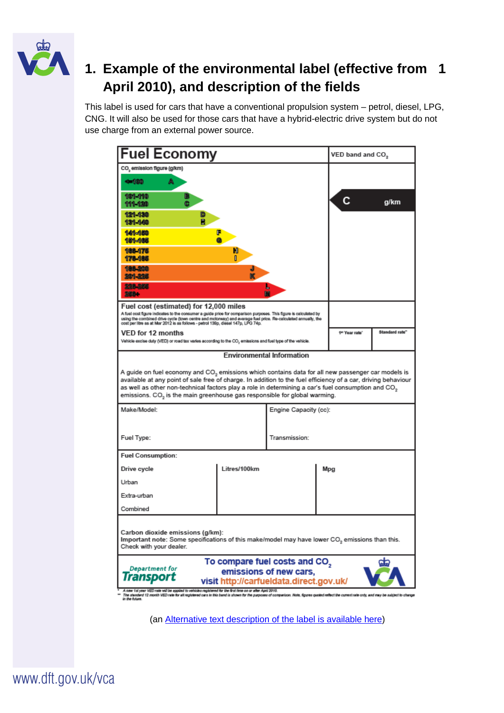

# **1. Example of the environmental label (effective from 1 April 2010), and description of the fields**

This label is used for cars that have a conventional propulsion system – petrol, diesel, LPG, CNG. It will also be used for those cars that have a hybrid-electric drive system but do not use charge from an external power source.

| <b>Fuel Economy</b>                                                                                                                                                                                                                                                                                                                                                                                                                       |              |                                  |               | VED band and CO <sub>2</sub> |  |  |
|-------------------------------------------------------------------------------------------------------------------------------------------------------------------------------------------------------------------------------------------------------------------------------------------------------------------------------------------------------------------------------------------------------------------------------------------|--------------|----------------------------------|---------------|------------------------------|--|--|
| CO, emission figure (g/km)                                                                                                                                                                                                                                                                                                                                                                                                                |              |                                  |               |                              |  |  |
| A<br>4-100                                                                                                                                                                                                                                                                                                                                                                                                                                |              |                                  |               |                              |  |  |
| 101-110<br>ē<br>111-120                                                                                                                                                                                                                                                                                                                                                                                                                   |              |                                  | c             | g/km                         |  |  |
| 121-130<br>131-140                                                                                                                                                                                                                                                                                                                                                                                                                        |              |                                  |               |                              |  |  |
| 141-150<br>F<br>181-105                                                                                                                                                                                                                                                                                                                                                                                                                   |              |                                  |               |                              |  |  |
| 188-175<br>Ю<br>178-185                                                                                                                                                                                                                                                                                                                                                                                                                   |              |                                  |               |                              |  |  |
| 186-310<br>2011-22K                                                                                                                                                                                                                                                                                                                                                                                                                       |              |                                  |               |                              |  |  |
| 228-226<br>20004                                                                                                                                                                                                                                                                                                                                                                                                                          |              |                                  |               |                              |  |  |
| Fuel cost (estimated) for 12,000 miles<br>A fuel cost figure indicates to the consumer a guide price for comparison purposes. This figure is calculated by<br>using the combined drive cycle (town centre and motorway) and average fuel price. Re-calculated annually, the<br>cost per litre as at Mar 2012 is as follows - petrol 139p, diesel 147p, LPG 74p.                                                                           |              |                                  |               |                              |  |  |
| VED for 12 months                                                                                                                                                                                                                                                                                                                                                                                                                         |              |                                  | 1" Year rate" | Standard rate"               |  |  |
| Vehicle excise duty (VED) or road tax varies according to the CO, emissions and fuel type of the vehicle.                                                                                                                                                                                                                                                                                                                                 |              | <b>Environmental Information</b> |               |                              |  |  |
| A guide on fuel economy and CO <sub>2</sub> emissions which contains data for all new passenger car models is<br>available at any point of sale free of charge. In addition to the fuel efficiency of a car, driving behaviour<br>as well as other non-technical factors play a role in determining a car's fuel consumption and CO <sub>2</sub><br>emissions. CO <sub>2</sub> is the main greenhouse gas responsible for global warming. |              |                                  |               |                              |  |  |
| Make/Model:                                                                                                                                                                                                                                                                                                                                                                                                                               |              | Engine Capacity (cc):            |               |                              |  |  |
| Fuel Type:                                                                                                                                                                                                                                                                                                                                                                                                                                |              | Transmission:                    |               |                              |  |  |
| <b>Fuel Consumption:</b>                                                                                                                                                                                                                                                                                                                                                                                                                  |              |                                  |               |                              |  |  |
| Drive cycle                                                                                                                                                                                                                                                                                                                                                                                                                               | Litres/100km |                                  | Mpg           |                              |  |  |
| Urban                                                                                                                                                                                                                                                                                                                                                                                                                                     |              |                                  |               |                              |  |  |
| Extra-urban                                                                                                                                                                                                                                                                                                                                                                                                                               |              |                                  |               |                              |  |  |
| Combined                                                                                                                                                                                                                                                                                                                                                                                                                                  |              |                                  |               |                              |  |  |
| Carbon dioxide emissions (g/km):<br>Important note: Some specifications of this make/model may have lower CO <sub>2</sub> emissions than this.<br>Check with your dealer.                                                                                                                                                                                                                                                                 |              |                                  |               |                              |  |  |
| To compare fuel costs and CO,<br>Department for<br>emissions of new cars,<br>Iransport<br>visit http://carfueldata.direct.gov.uk/<br>A new 1st year VED rate will be applied to vehicles registered for the first time on or after April 2010.                                                                                                                                                                                            |              |                                  |               |                              |  |  |
| The stended 12 month VED rate for all registered cars in this band is shown for the purposes of companison. Note, figures quoted reflect the current rate only, and may be subject to change<br>in the future.                                                                                                                                                                                                                            |              |                                  |               |                              |  |  |

(an [Alternative text description of the label is available here\)](http://www.dft.gov.uk/vca/accessibility/description-of-the-new-car-environmental-label.asp)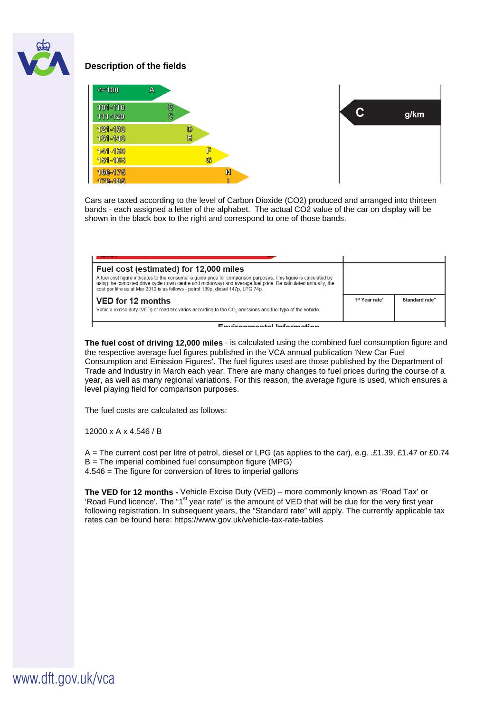

### **Description of the fields**



Cars are taxed according to the level of Carbon Dioxide (CO2) produced and arranged into thirteen bands - each assigned a letter of the alphabet. The actual CO2 value of the car on display will be shown in the black box to the right and correspond to one of those bands.

| Fuel cost (estimated) for 12,000 miles                                                                                                                                                                                                                                                                                |                            |                |
|-----------------------------------------------------------------------------------------------------------------------------------------------------------------------------------------------------------------------------------------------------------------------------------------------------------------------|----------------------------|----------------|
| A fuel cost figure indicates to the consumer a quide price for comparison purposes. This figure is calculated by<br>using the combined drive cycle (town centre and motorway) and average fuel price. Re-calculated annually, the<br>cost per litre as at Mar 2012 is as follows - petrol 139p, diesel 147p, LPG 74p. |                            |                |
| VED for 12 months                                                                                                                                                                                                                                                                                                     | 1 <sup>st</sup> Year rate' | Standard rate" |
| Vehicle excise duty (VED) or road tax varies according to the CO <sub>2</sub> emissions and fuel type of the vehicle.                                                                                                                                                                                                 |                            |                |
| For descended befores atten                                                                                                                                                                                                                                                                                           |                            |                |

**The fuel cost of driving 12,000 miles** - is calculated using the combined fuel consumption figure and the respective average fuel figures published in the VCA annual publication 'New Car Fuel Consumption and Emission Figures'. The fuel figures used are those published by the Department of Trade and Industry in March each year. There are many changes to fuel prices during the course of a year, as well as many regional variations. For this reason, the average figure is used, which ensures a level playing field for comparison purposes.

The fuel costs are calculated as follows:

12000 x A x 4.546 / B

A = The current cost per litre of petrol, diesel or LPG (as applies to the car), e.g. .£1.39, £1.47 or £0.74 B = The imperial combined fuel consumption figure (MPG) 4.546 = The figure for conversion of litres to imperial gallons

**The VED for 12 months -** Vehicle Excise Duty (VED) – more commonly known as 'Road Tax' or 'Road Fund licence'. The "1<sup>st</sup> year rate" is the amount of VED that will be due for the very first year following registration. In subsequent years, the "Standard rate" will apply. The currently applicable tax rates can be found here: https://www.gov.uk/vehicle-tax-rate-tables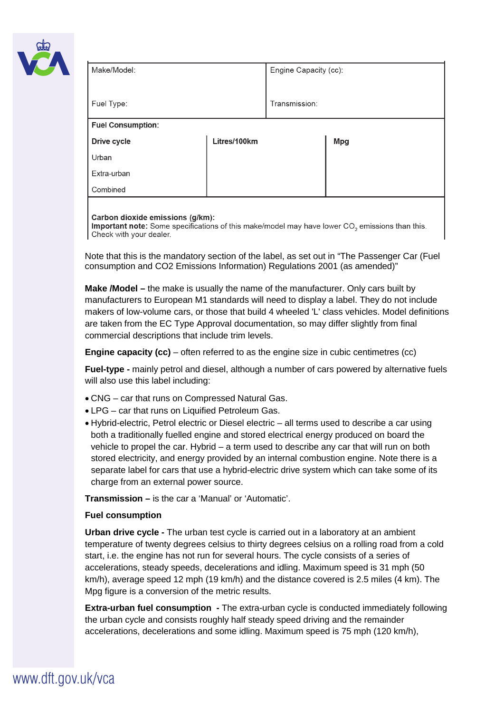

| Make/Model:              |              | Engine Capacity (cc): |            |  |
|--------------------------|--------------|-----------------------|------------|--|
| Fuel Type:               |              | Transmission:         |            |  |
| <b>Fuel Consumption:</b> |              |                       |            |  |
| Drive cycle              | Litres/100km |                       | <b>Mpg</b> |  |
| Urban                    |              |                       |            |  |
| Extra-urban              |              |                       |            |  |
| Combined                 |              |                       |            |  |
|                          |              |                       |            |  |

#### Carbon dioxide emissions (g/km):

Important note: Some specifications of this make/model may have lower CO<sub>2</sub> emissions than this. Check with your dealer.

Note that this is the mandatory section of the label, as set out in "The Passenger Car (Fuel consumption and CO2 Emissions Information) Regulations 2001 (as amended)"

**Make /Model –** the make is usually the name of the manufacturer. Only cars built by manufacturers to European M1 standards will need to display a label. They do not include makers of low-volume cars, or those that build 4 wheeled 'L' class vehicles. Model definitions are taken from the EC Type Approval documentation, so may differ slightly from final commercial descriptions that include trim levels.

**Engine capacity (cc)** – often referred to as the engine size in cubic centimetres (cc)

**Fuel-type -** mainly petrol and diesel, although a number of cars powered by alternative fuels will also use this label including:

- CNG car that runs on Compressed Natural Gas.
- LPG car that runs on Liquified Petroleum Gas.
- Hybrid-electric, Petrol electric or Diesel electric all terms used to describe a car using both a traditionally fuelled engine and stored electrical energy produced on board the vehicle to propel the car. Hybrid – a term used to describe any car that will run on both stored electricity, and energy provided by an internal combustion engine. Note there is a separate label for cars that use a hybrid-electric drive system which can take some of its charge from an external power source.

**Transmission –** is the car a 'Manual' or 'Automatic'.

#### **Fuel consumption**

**Urban drive cycle -** The urban test cycle is carried out in a laboratory at an ambient temperature of twenty degrees celsius to thirty degrees celsius on a rolling road from a cold start, i.e. the engine has not run for several hours. The cycle consists of a series of accelerations, steady speeds, decelerations and idling. Maximum speed is 31 mph (50 km/h), average speed 12 mph (19 km/h) and the distance covered is 2.5 miles (4 km). The Mpg figure is a conversion of the metric results.

**Extra-urban fuel consumption -** The extra-urban cycle is conducted immediately following the urban cycle and consists roughly half steady speed driving and the remainder accelerations, decelerations and some idling. Maximum speed is 75 mph (120 km/h),

## www.dft.gov.uk/vca